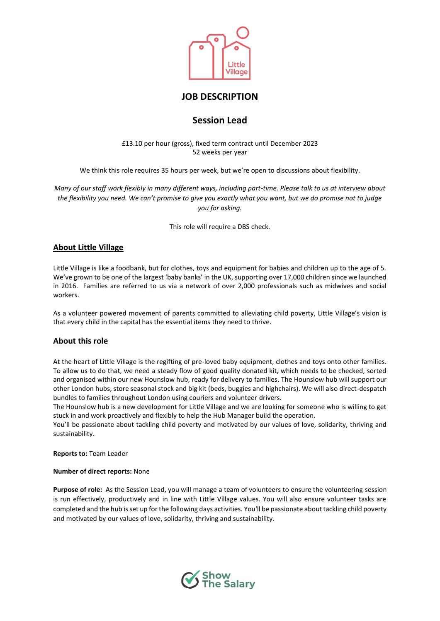

# **JOB DESCRIPTION**

# **Session Lead**

£13.10 per hour (gross), fixed term contract until December 2023 52 weeks per year

We think this role requires 35 hours per week, but we're open to discussions about flexibility.

*Many of our staff work flexibly in many different ways, including part-time. Please talk to us at interview about the flexibility you need. We can't promise to give you exactly what you want, but we do promise not to judge you for asking.* 

This role will require a DBS check.

## **About Little Village**

Little Village is like a foodbank, but for clothes, toys and equipment for babies and children up to the age of 5. We've grown to be one of the largest 'baby banks' in the UK, supporting over 17,000 children since we launched in 2016. Families are referred to us via a network of over 2,000 professionals such as midwives and social workers.

As a volunteer powered movement of parents committed to alleviating child poverty, Little Village's vision is that every child in the capital has the essential items they need to thrive.

## **About this role**

At the heart of Little Village is the regifting of pre-loved baby equipment, clothes and toys onto other families. To allow us to do that, we need a steady flow of good quality donated kit, which needs to be checked, sorted and organised within our new Hounslow hub, ready for delivery to families. The Hounslow hub will support our other London hubs, store seasonal stock and big kit (beds, buggies and highchairs). We will also direct-despatch bundles to families throughout London using couriers and volunteer drivers.

The Hounslow hub is a new development for Little Village and we are looking for someone who is willing to get stuck in and work proactively and flexibly to help the Hub Manager build the operation.

You'll be passionate about tackling child poverty and motivated by our values of love, solidarity, thriving and sustainability.

**Reports to:** Team Leader

### **Number of direct reports:** None

**Purpose of role:** As the Session Lead, you will manage a team of volunteers to ensure the volunteering session is run effectively, productively and in line with Little Village values. You will also ensure volunteer tasks are completed and the hub is set up for the following days activities. You'll be passionate about tackling child poverty and motivated by our values of love, solidarity, thriving and sustainability.

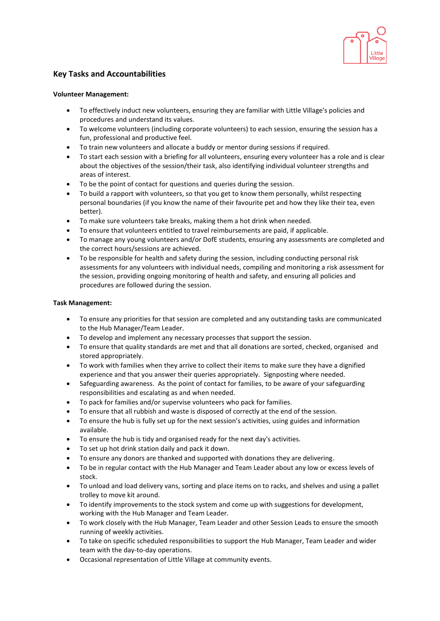

## **Key Tasks and Accountabilities**

### **Volunteer Management:**

- To effectively induct new volunteers, ensuring they are familiar with Little Village's policies and procedures and understand its values.
- To welcome volunteers (including corporate volunteers) to each session, ensuring the session has a fun, professional and productive feel.
- To train new volunteers and allocate a buddy or mentor during sessions if required.
- To start each session with a briefing for all volunteers, ensuring every volunteer has a role and is clear about the objectives of the session/their task, also identifying individual volunteer strengths and areas of interest.
- To be the point of contact for questions and queries during the session.
- To build a rapport with volunteers, so that you get to know them personally, whilst respecting personal boundaries (if you know the name of their favourite pet and how they like their tea, even better).
- To make sure volunteers take breaks, making them a hot drink when needed.
- To ensure that volunteers entitled to travel reimbursements are paid, if applicable.
- To manage any young volunteers and/or DofE students, ensuring any assessments are completed and the correct hours/sessions are achieved.
- To be responsible for health and safety during the session, including conducting personal risk assessments for any volunteers with individual needs, compiling and monitoring a risk assessment for the session, providing ongoing monitoring of health and safety, and ensuring all policies and procedures are followed during the session.

## **Task Management:**

- To ensure any priorities for that session are completed and any outstanding tasks are communicated to the Hub Manager/Team Leader.
- To develop and implement any necessary processes that support the session.
- To ensure that quality standards are met and that all donations are sorted, checked, organised and stored appropriately.
- To work with families when they arrive to collect their items to make sure they have a dignified experience and that you answer their queries appropriately. Signposting where needed.
- Safeguarding awareness. As the point of contact for families, to be aware of your safeguarding responsibilities and escalating as and when needed.
- To pack for families and/or supervise volunteers who pack for families.
- To ensure that all rubbish and waste is disposed of correctly at the end of the session.
- To ensure the hub is fully set up for the next session's activities, using guides and information available.
- To ensure the hub is tidy and organised ready for the next day's activities.
- To set up hot drink station daily and pack it down.
- To ensure any donors are thanked and supported with donations they are delivering.
- To be in regular contact with the Hub Manager and Team Leader about any low or excess levels of stock.
- To unload and load delivery vans, sorting and place items on to racks, and shelves and using a pallet trolley to move kit around.
- To identify improvements to the stock system and come up with suggestions for development, working with the Hub Manager and Team Leader.
- To work closely with the Hub Manager, Team Leader and other Session Leads to ensure the smooth running of weekly activities.
- To take on specific scheduled responsibilities to support the Hub Manager, Team Leader and wider team with the day-to-day operations.
- Occasional representation of Little Village at community events.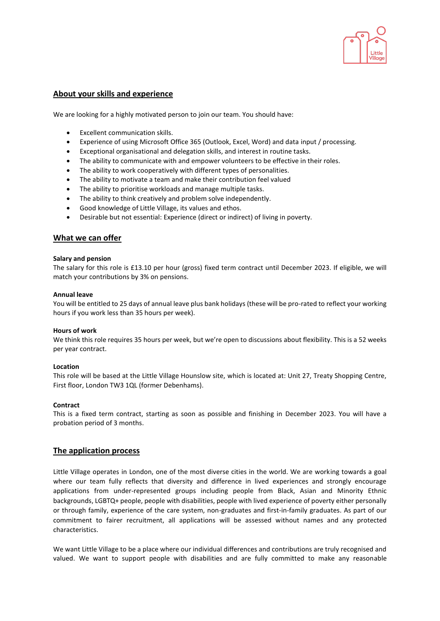

## **About your skills and experience**

We are looking for a highly motivated person to join our team. You should have:

- Excellent communication skills.
- Experience of using Microsoft Office 365 (Outlook, Excel, Word) and data input / processing.
- Exceptional organisational and delegation skills, and interest in routine tasks.
- The ability to communicate with and empower volunteers to be effective in their roles.
- The ability to work cooperatively with different types of personalities.
- The ability to motivate a team and make their contribution feel valued
- The ability to prioritise workloads and manage multiple tasks.
- The ability to think creatively and problem solve independently.
- Good knowledge of Little Village, its values and ethos.
- Desirable but not essential: Experience (direct or indirect) of living in poverty.

#### **What we can offer**

#### **Salary and pension**

The salary for this role is £13.10 per hour (gross) fixed term contract until December 2023. If eligible, we will match your contributions by 3% on pensions.

#### **Annual leave**

You will be entitled to 25 days of annual leave plus bank holidays (these will be pro-rated to reflect your working hours if you work less than 35 hours per week).

#### **Hours of work**

We think this role requires 35 hours per week, but we're open to discussions about flexibility. This is a 52 weeks per year contract.

#### **Location**

This role will be based at the Little Village Hounslow site, which is located at: Unit 27, Treaty Shopping Centre, First floor, London TW3 1QL (former Debenhams).

#### **Contract**

This is a fixed term contract, starting as soon as possible and finishing in December 2023. You will have a probation period of 3 months.

### **The application process**

Little Village operates in London, one of the most diverse cities in the world. We are working towards a goal where our team fully reflects that diversity and difference in lived experiences and strongly encourage applications from under-represented groups including people from Black, Asian and Minority Ethnic backgrounds, LGBTQ+ people, people with disabilities, people with lived experience of poverty either personally or through family, experience of the care system, non-graduates and first-in-family graduates. As part of our commitment to fairer recruitment, all applications will be assessed without names and any protected characteristics.

We want Little Village to be a place where our individual differences and contributions are truly recognised and valued. We want to support people with disabilities and are fully committed to make any reasonable